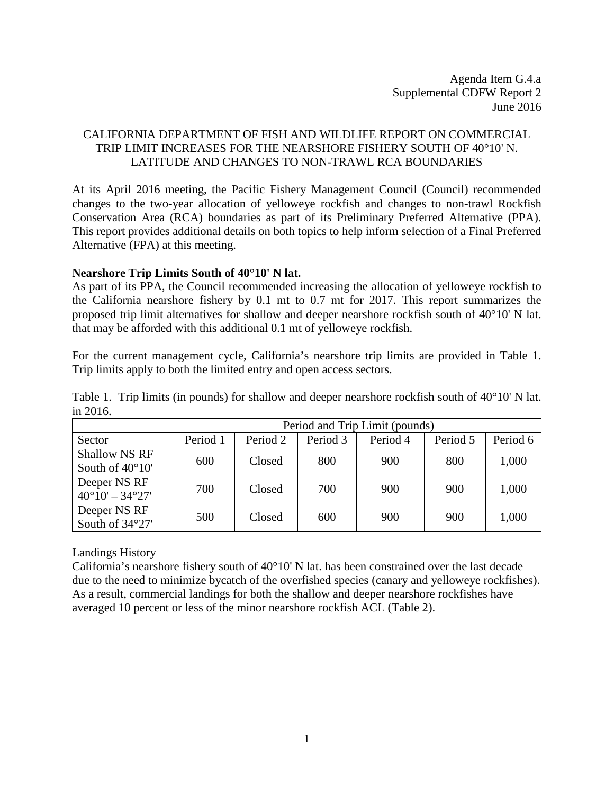Agenda Item G.4.a Supplemental CDFW Report 2 June 2016

# CALIFORNIA DEPARTMENT OF FISH AND WILDLIFE REPORT ON COMMERCIAL TRIP LIMIT INCREASES FOR THE NEARSHORE FISHERY SOUTH OF 40°10' N. LATITUDE AND CHANGES TO NON-TRAWL RCA BOUNDARIES

At its April 2016 meeting, the Pacific Fishery Management Council (Council) recommended changes to the two-year allocation of yelloweye rockfish and changes to non-trawl Rockfish Conservation Area (RCA) boundaries as part of its Preliminary Preferred Alternative (PPA). This report provides additional details on both topics to help inform selection of a Final Preferred Alternative (FPA) at this meeting.

### **Nearshore Trip Limits South of 40°10' N lat.**

As part of its PPA, the Council recommended increasing the allocation of yelloweye rockfish to the California nearshore fishery by 0.1 mt to 0.7 mt for 2017. This report summarizes the proposed trip limit alternatives for shallow and deeper nearshore rockfish south of 40°10' N lat. that may be afforded with this additional 0.1 mt of yelloweye rockfish.

For the current management cycle, California's nearshore trip limits are provided in [Table 1.](#page-0-0) Trip limits apply to both the limited entry and open access sectors.

<span id="page-0-0"></span>Table 1. Trip limits (in pounds) for shallow and deeper nearshore rockfish south of 40°10' N lat. in 2016.

|                                 | Period and Trip Limit (pounds) |          |          |          |          |          |  |  |  |
|---------------------------------|--------------------------------|----------|----------|----------|----------|----------|--|--|--|
| Sector                          | Period 1                       | Period 2 | Period 3 | Period 4 | Period 5 | Period 6 |  |  |  |
| <b>Shallow NS RF</b>            | 600                            | Closed   | 800      | 900      | 800      | 1,000    |  |  |  |
| South of $40^{\circ}10'$        |                                |          |          |          |          |          |  |  |  |
| Deeper NS RF                    | 700                            | Closed   | 700      | 900      | 900      | 1,000    |  |  |  |
| $40^{\circ}10' - 34^{\circ}27'$ |                                |          |          |          |          |          |  |  |  |
| Deeper NS RF                    | 500                            | Closed   | 600      | 900      | 900      | 1,000    |  |  |  |
| South of 34°27'                 |                                |          |          |          |          |          |  |  |  |

### Landings History

California's nearshore fishery south of 40°10' N lat. has been constrained over the last decade due to the need to minimize bycatch of the overfished species (canary and yelloweye rockfishes). As a result, commercial landings for both the shallow and deeper nearshore rockfishes have averaged 10 percent or less of the minor nearshore rockfish ACL (Table 2).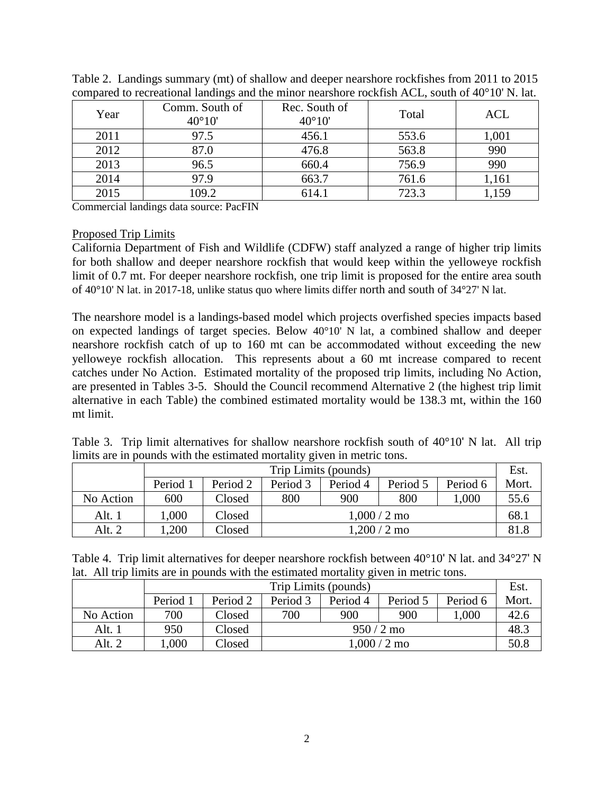| Year | Comm. South of<br>$40^{\circ}10'$ | Rec. South of<br>$40^{\circ}10'$ | Total | ACL   |
|------|-----------------------------------|----------------------------------|-------|-------|
| 2011 | 97.5                              | 456.1                            | 553.6 | 1,001 |
| 2012 | 87.0                              | 476.8                            | 563.8 | 990   |
| 2013 | 96.5                              | 660.4                            | 756.9 | 990   |
| 2014 | 97.9                              | 663.7                            | 761.6 | 1,161 |
| 2015 | 109.2                             | 614.1                            | 723.3 | 1,159 |

Table 2. Landings summary (mt) of shallow and deeper nearshore rockfishes from 2011 to 2015 compared to recreational landings and the minor nearshore rockfish ACL, south of 40°10' N. lat.

Commercial landings data source: PacFIN

#### Proposed Trip Limits

California Department of Fish and Wildlife (CDFW) staff analyzed a range of higher trip limits for both shallow and deeper nearshore rockfish that would keep within the yelloweye rockfish limit of 0.7 mt. For deeper nearshore rockfish, one trip limit is proposed for the entire area south of 40°10' N lat. in 2017-18, unlike status quo where limits differ north and south of 34°27' N lat.

The nearshore model is a landings-based model which projects overfished species impacts based on expected landings of target species. Below 40°10' N lat, a combined shallow and deeper nearshore rockfish catch of up to 160 mt can be accommodated without exceeding the new yelloweye rockfish allocation. This represents about a 60 mt increase compared to recent catches under No Action. Estimated mortality of the proposed trip limits, including No Action, are presented in Tables 3-5. Should the Council recommend Alternative 2 (the highest trip limit alternative in each Table) the combined estimated mortality would be 138.3 mt, within the 160 mt limit.

|  | Table 3. Trip limit alternatives for shallow nearshore rockfish south of $40^{\circ}10'$ N lat. All trip |  |  |  |  |
|--|----------------------------------------------------------------------------------------------------------|--|--|--|--|
|  | limits are in pounds with the estimated mortality given in metric tons.                                  |  |  |  |  |

|           | Trip Limits (pounds) |          |          |          |          |          |       |  |  |
|-----------|----------------------|----------|----------|----------|----------|----------|-------|--|--|
|           | Period 1             | Period 2 | Period 3 | Period 4 | Period 5 | Period 6 | Mort. |  |  |
| No Action | 600                  | Closed   | 800      | 900      | 800      | 1,000    | 55.6  |  |  |
| Alt. 1    | 1.000                | Closed   |          | 68.1     |          |          |       |  |  |
| Alt. $2$  | ,200                 | Closed   |          | 81.8     |          |          |       |  |  |

|  |  |  |  | Table 4. Trip limit alternatives for deeper nearshore rockfish between $40^{\circ}10'$ N lat. and $34^{\circ}27'$ N |  |  |  |  |  |
|--|--|--|--|---------------------------------------------------------------------------------------------------------------------|--|--|--|--|--|
|  |  |  |  | lat. All trip limits are in pounds with the estimated mortality given in metric tons.                               |  |  |  |  |  |

|           | Trip Limits (pounds) |          |          |          |          |          |       |  |  |
|-----------|----------------------|----------|----------|----------|----------|----------|-------|--|--|
|           | Period 1             | Period 2 | Period 3 | Period 4 | Period 5 | Period 6 | Mort. |  |  |
| No Action | 700                  | Closed   | 700      | 900      | 900      | $000$ .  | 42.6  |  |  |
| Alt. 1    | 950                  | Closed   |          | 48.3     |          |          |       |  |  |
| Alt. $2$  | ,000                 | Closed   |          | 50.8     |          |          |       |  |  |